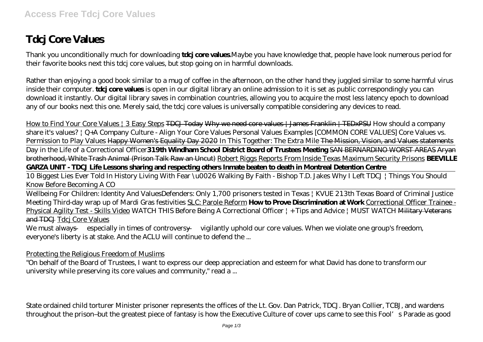## **Tdcj Core Values**

Thank you unconditionally much for downloading **tdcj core values**.Maybe you have knowledge that, people have look numerous period for their favorite books next this tdcj core values, but stop going on in harmful downloads.

Rather than enjoying a good book similar to a mug of coffee in the afternoon, on the other hand they juggled similar to some harmful virus inside their computer. **tdcj core values** is open in our digital library an online admission to it is set as public correspondingly you can download it instantly. Our digital library saves in combination countries, allowing you to acquire the most less latency epoch to download any of our books next this one. Merely said, the tdcj core values is universally compatible considering any devices to read.

How to Find Your Core Values | 3 Easy Steps TDCJ Today Why we need core values | James Franklin | TEDxPSU *How should a company share it's values? | Q+A Company Culture - Align Your Core Values Personal Values Examples [COMMON CORE VALUES] Core Values vs. Permission to Play Values* Happy Women's Equality Day 2020 *In This Together: The Extra Mile* The Mission, Vision, and Values statements Day in the Life of a Correctional Officer**319th Windham School District Board of Trustees Meeting** SAN BERNARDINO WORST AREAS Aryan brotherhood, White Trash Animal (Prison Talk Raw an Uncut) Robert Riggs Reports From Inside Texas Maximum Security Prisons **BEEVILLE GARZA UNIT - TDCJ Life Lessons sharing and respecting others Inmate beaten to death in Montreal Detention Centre**

10 Biggest Lies Ever Told In History Living With Fear \u0026 Walking By Faith - Bishop T.D. Jakes Why I Left TDCJ | Things You Should Know Before Becoming A CO

Wellbeing For Children: Identity And Values*Defenders: Only 1,700 prisoners tested in Texas | KVUE* 213th Texas Board of Criminal Justice Meeting Third-day wrap up of Mardi Gras festivities SLC: Parole Reform **How to Prove Discrimination at Work** Correctional Officer Trainee - Physical Agility Test - Skills Video *WATCH THIS Before Being A Correctional Officer | + Tips and Advice | MUST WATCH* Military Veterans and TDCJ Tdcj Core Values

We must always — especially in times of controversy — vigilantly uphold our core values. When we violate one group's freedom, everyone's liberty is at stake. And the ACLU will continue to defend the ...

Protecting the Religious Freedom of Muslims

"On behalf of the Board of Trustees, I want to express our deep appreciation and esteem for what David has done to transform our university while preserving its core values and community," read a ...

State ordained child torturer Minister prisoner represents the offices of the Lt. Gov. Dan Patrick, TDCJ. Bryan Collier, TCBJ, and wardens throughout the prison–but the greatest piece of fantasy is how the Executive Culture of cover ups came to see this Fool's Parade as good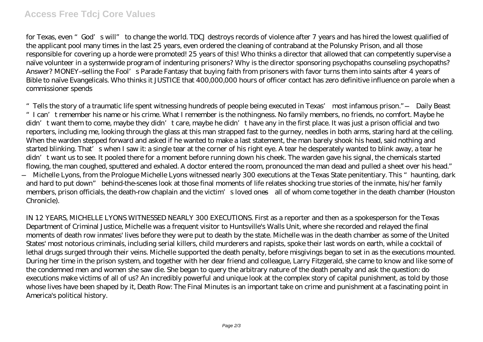for Texas, even "God's will" to change the world. TDCJ destroys records of violence after 7 years and has hired the lowest qualified of the applicant pool many times in the last 25 years, even ordered the cleaning of contraband at the Polunsky Prison, and all those responsible for covering up a horde were promoted! 25 years of this! Who thinks a director that allowed that can competently supervise a naïve volunteer in a systemwide program of indenturing prisoners? Why is the director sponsoring psychopaths counseling psychopaths? Answer? MONEY–selling the Fool's Parade Fantasy that buying faith from prisoners with favor turns them into saints after 4 years of Bible to naïve Evangelicals. Who thinks it JUSTICE that 400,000,000 hours of officer contact has zero definitive influence on parole when a commissioner spends

"Tells the story of a traumatic life spent witnessing hundreds of people being executed in Texas' most infamous prison." —Daily Beast "I can't remember his name or his crime. What I remember is the nothingness. No family members, no friends, no comfort. Maybe he didn't want them to come, maybe they didn't care, maybe he didn't have any in the first place. It was just a prison official and two reporters, including me, looking through the glass at this man strapped fast to the gurney, needles in both arms, staring hard at the ceiling. When the warden stepped forward and asked if he wanted to make a last statement, the man barely shook his head, said nothing and started blinking. That's when I saw it: a single tear at the corner of his right eye. A tear he desperately wanted to blink away, a tear he didn't want us to see. It pooled there for a moment before running down his cheek. The warden gave his signal, the chemicals started flowing, the man coughed, sputtered and exhaled. A doctor entered the room, pronounced the man dead and pulled a sheet over his head." —Michelle Lyons, from the Prologue Michelle Lyons witnessed nearly 300 executions at the Texas State penitentiary. This "haunting, dark and hard to put down" behind-the-scenes look at those final moments of life relates shocking true stories of the inmate, his/her family members, prison officials, the death-row chaplain and the victim's loved ones—all of whom come together in the death chamber (Houston Chronicle).

IN 12 YEARS, MICHELLE LYONS WITNESSED NEARLY 300 EXECUTIONS. First as a reporter and then as a spokesperson for the Texas Department of Criminal Justice, Michelle was a frequent visitor to Huntsville's Walls Unit, where she recorded and relayed the final moments of death row inmates' lives before they were put to death by the state. Michelle was in the death chamber as some of the United States' most notorious criminals, including serial killers, child murderers and rapists, spoke their last words on earth, while a cocktail of lethal drugs surged through their veins. Michelle supported the death penalty, before misgivings began to set in as the executions mounted. During her time in the prison system, and together with her dear friend and colleague, Larry Fitzgerald, she came to know and like some of the condemned men and women she saw die. She began to query the arbitrary nature of the death penalty and ask the question: do executions make victims of all of us? An incredibly powerful and unique look at the complex story of capital punishment, as told by those whose lives have been shaped by it, Death Row: The Final Minutes is an important take on crime and punishment at a fascinating point in America's political history.